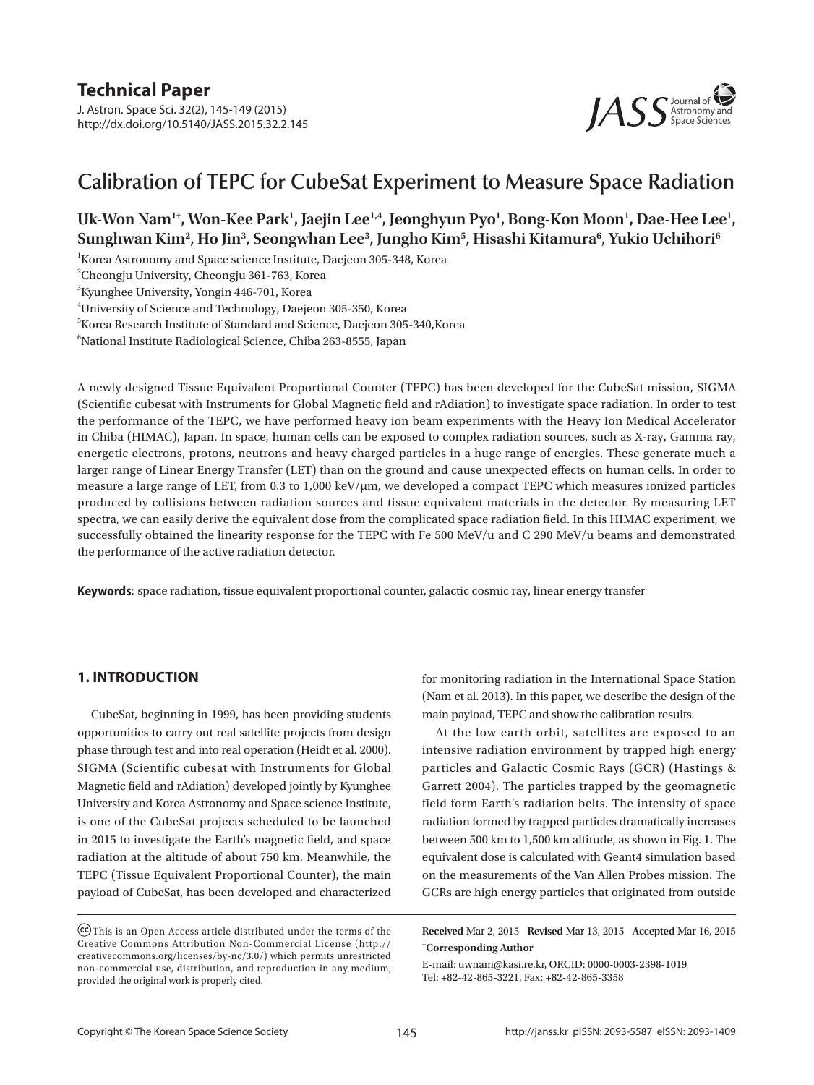J. Astron. Space Sci. 32(2), 145-149 (2015) http://dx.doi.org/10.5140/JASS.2015.32.2.145



# **Calibration of TEPC for CubeSat Experiment to Measure Space Radiation**

# Uk-Won Nam<sup>1†</sup>, Won-Kee Park<sup>1</sup>, Jaejin Lee<sup>1,4</sup>, Jeonghyun Pyo<sup>1</sup>, Bong-Kon Moon<sup>1</sup>, Dae-Hee Lee<sup>1</sup>, **Sunghwan Kim2 , Ho Jin3 , Seongwhan Lee3 , Jungho Kim5 , Hisashi Kitamura6 , Yukio Uchihori6**

 $\rm ^1$ Korea Astronomy and Space science Institute, Daejeon 305-348, Korea

2 Cheongju University, Cheongju 361-763, Korea

 ${}^{3}$ Kyunghee University, Yongin 446-701, Korea

4 University of Science and Technology, Daejeon 305-350, Korea

5 Korea Research Institute of Standard and Science, Daejeon 305-340,Korea

6 National Institute Radiological Science, Chiba 263-8555, Japan

A newly designed Tissue Equivalent Proportional Counter (TEPC) has been developed for the CubeSat mission, SIGMA (Scientific cubesat with Instruments for Global Magnetic field and rAdiation) to investigate space radiation. In order to test the performance of the TEPC, we have performed heavy ion beam experiments with the Heavy Ion Medical Accelerator in Chiba (HIMAC), Japan. In space, human cells can be exposed to complex radiation sources, such as X-ray, Gamma ray, energetic electrons, protons, neutrons and heavy charged particles in a huge range of energies. These generate much a larger range of Linear Energy Transfer (LET) than on the ground and cause unexpected effects on human cells. In order to measure a large range of LET, from 0.3 to 1,000 keV/ $\mu$ m, we developed a compact TEPC which measures ionized particles produced by collisions between radiation sources and tissue equivalent materials in the detector. By measuring LET spectra, we can easily derive the equivalent dose from the complicated space radiation field. In this HIMAC experiment, we successfully obtained the linearity response for the TEPC with Fe 500 MeV/u and C 290 MeV/u beams and demonstrated the performance of the active radiation detector.

**Keywords**: space radiation, tissue equivalent proportional counter, galactic cosmic ray, linear energy transfer

#### **1. INTRODUCTION**

CubeSat, beginning in 1999, has been providing students opportunities to carry out real satellite projects from design phase through test and into real operation (Heidt et al. 2000). SIGMA (Scientific cubesat with Instruments for Global Magnetic field and rAdiation) developed jointly by Kyunghee University and Korea Astronomy and Space science Institute, is one of the CubeSat projects scheduled to be launched in 2015 to investigate the Earth's magnetic field, and space radiation at the altitude of about 750 km. Meanwhile, the TEPC (Tissue Equivalent Proportional Counter), the main payload of CubeSat, has been developed and characterized

for monitoring radiation in the International Space Station (Nam et al. 2013). In this paper, we describe the design of the main payload, TEPC and show the calibration results.

At the low earth orbit, satellites are exposed to an intensive radiation environment by trapped high energy particles and Galactic Cosmic Rays (GCR) (Hastings & Garrett 2004). The particles trapped by the geomagnetic field form Earth's radiation belts. The intensity of space radiation formed by trapped particles dramatically increases between 500 km to 1,500 km altitude, as shown in Fig. 1. The equivalent dose is calculated with Geant4 simulation based on the measurements of the Van Allen Probes mission. The GCRs are high energy particles that originated from outside

**Received** Mar 2, 2015 **Revised** Mar 13, 2015 **Accepted** Mar 16, 2015 †**Corresponding Author**

E-mail: uwnam@kasi.re.kr, ORCID: 0000-0003-2398-1019 Tel: +82-42-865-3221, Fax: +82-42-865-3358

This is an Open Access article distributed under the terms of the Creative Commons Attribution Non-Commercial License (http:// creativecommons.org/licenses/by-nc/3.0/) which permits unrestricted non-commercial use, distribution, and reproduction in any medium, provided the original work is properly cited.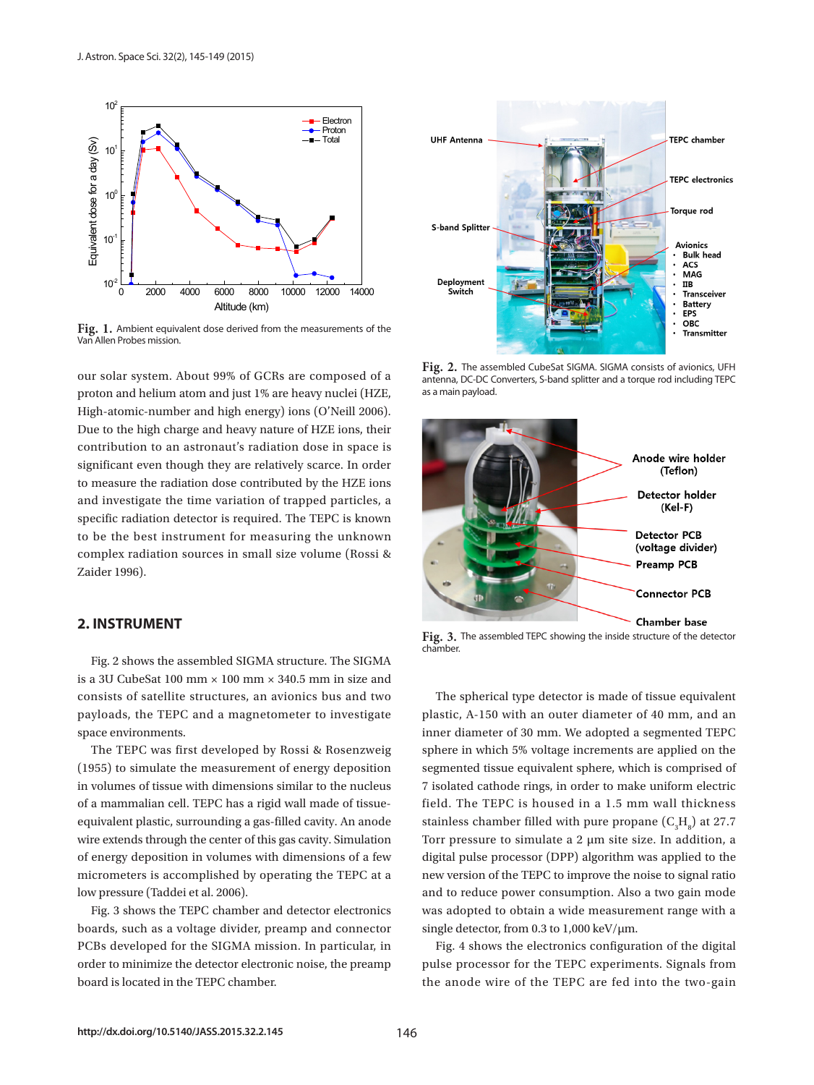

**Fig. 1.** Ambient equivalent dose derived from the measurements of the Van Allen Probes mission.

our solar system. About 99% of GCRs are composed of a proton and helium atom and just 1% are heavy nuclei (HZE, High-atomic-number and high energy) ions (O'Neill 2006). Due to the high charge and heavy nature of HZE ions, their contribution to an astronaut's radiation dose in space is significant even though they are relatively scarce. In order to measure the radiation dose contributed by the HZE ions and investigate the time variation of trapped particles, a specific radiation detector is required. The TEPC is known to be the best instrument for measuring the unknown complex radiation sources in small size volume (Rossi & Zaider 1996).

### **2. INSTRUMENT**

Fig. 2 shows the assembled SIGMA structure. The SIGMA is a 3U CubeSat 100 mm × 100 mm × 340.5 mm in size and consists of satellite structures, an avionics bus and two payloads, the TEPC and a magnetometer to investigate space environments.

The TEPC was first developed by Rossi & Rosenzweig (1955) to simulate the measurement of energy deposition in volumes of tissue with dimensions similar to the nucleus of a mammalian cell. TEPC has a rigid wall made of tissueequivalent plastic, surrounding a gas-filled cavity. An anode wire extends through the center of this gas cavity. Simulation of energy deposition in volumes with dimensions of a few micrometers is accomplished by operating the TEPC at a low pressure (Taddei et al. 2006).

Fig. 3 shows the TEPC chamber and detector electronics boards, such as a voltage divider, preamp and connector PCBs developed for the SIGMA mission. In particular, in order to minimize the detector electronic noise, the preamp board is located in the TEPC chamber.



**Fig. 2.** The assembled CubeSat SIGMA. SIGMA consists of avionics, UFH antenna, DC-DC Converters, S-band splitter and a torque rod including TEPC as a main payload.



Fig. 3. The assembled TEPC showing the inside structure of the detector chamber.

The spherical type detector is made of tissue equivalent plastic, A-150 with an outer diameter of 40 mm, and an inner diameter of 30 mm. We adopted a segmented TEPC sphere in which 5% voltage increments are applied on the segmented tissue equivalent sphere, which is comprised of 7 isolated cathode rings, in order to make uniform electric field. The TEPC is housed in a 1.5 mm wall thickness stainless chamber filled with pure propane  $(C_3H_8)$  at 27.7 Torr pressure to simulate a 2 μm site size. In addition, a digital pulse processor (DPP) algorithm was applied to the new version of the TEPC to improve the noise to signal ratio and to reduce power consumption. Also a two gain mode was adopted to obtain a wide measurement range with a single detector, from 0.3 to 1,000 keV/μm.

Fig. 4 shows the electronics configuration of the digital pulse processor for the TEPC experiments. Signals from the anode wire of the TEPC are fed into the two-gain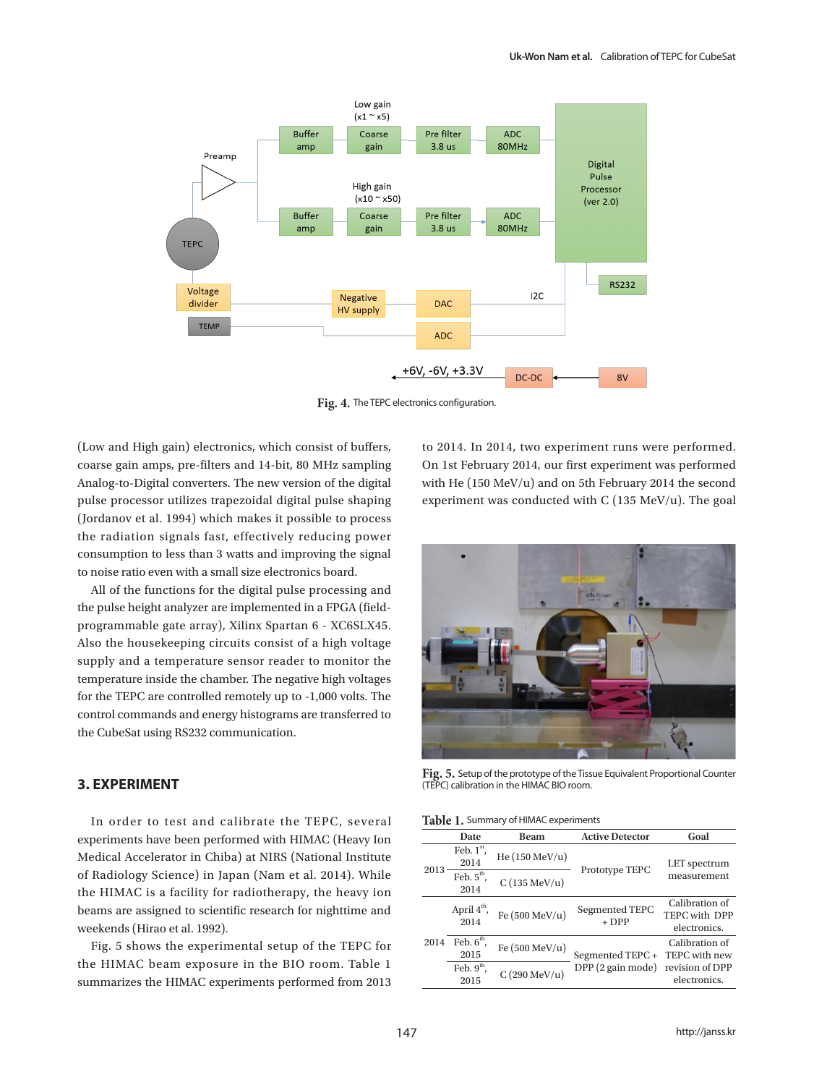

**Fig. 4.** The TEPC electronics configuration.

(Low and High gain) electronics, which consist of buffers, coarse gain amps, pre-filters and 14-bit, 80 MHz sampling Analog-to-Digital converters. The new version of the digital pulse processor utilizes trapezoidal digital pulse shaping (Jordanov et al. 1994) which makes it possible to process the radiation signals fast, effectively reducing power consumption to less than 3 watts and improving the signal to noise ratio even with a small size electronics board.

All of the functions for the digital pulse processing and the pulse height analyzer are implemented in a FPGA (fieldprogrammable gate array), Xilinx Spartan 6 - XC6SLX45. Also the housekeeping circuits consist of a high voltage supply and a temperature sensor reader to monitor the temperature inside the chamber. The negative high voltages for the TEPC are controlled remotely up to -1,000 volts. The control commands and energy histograms are transferred to the CubeSat using RS232 communication.

#### **3. EXPERIMENT**

In order to test and calibrate the TEPC, several experiments have been performed with HIMAC (Heavy Ion Medical Accelerator in Chiba) at NIRS (National Institute of Radiology Science) in Japan (Nam et al. 2014). While the HIMAC is a facility for radiotherapy, the heavy ion beams are assigned to scientific research for nighttime and weekends (Hirao et al. 1992).

Fig. 5 shows the experimental setup of the TEPC for the HIMAC beam exposure in the BIO room. Table 1 summarizes the HIMAC experiments performed from 2013

to 2014. In 2014, two experiment runs were performed. On 1st February 2014, our first experiment was performed with He (150 MeV/u) and on 5th February 2014 the second experiment was conducted with C (135 MeV/u). The goal



**Fig. 5.** Setup of the prototype of the Tissue Equivalent Proportional Counter (TEPC) calibration in the HIMAC BIO room.

|              |                                                                   |                           | Goal                        |
|--------------|-------------------------------------------------------------------|---------------------------|-----------------------------|
|              |                                                                   |                           |                             |
| Feb. $1st$ , | He $(150 \text{ MeV/u})$                                          | Prototype TEPC            | LET spectrum<br>measurement |
| 2014         |                                                                   |                           |                             |
|              | $C(135 \text{ MeV/u})$                                            |                           |                             |
| 2014         |                                                                   |                           |                             |
|              | Fe $(500 \text{ MeV/u})$                                          | Segmented TEPC<br>$+ DPP$ | Calibration of              |
|              |                                                                   |                           | TEPC with DPP               |
|              |                                                                   |                           | electronics.                |
| Feb. $6th$ , | Fe $(500 \text{ MeV/u})$                                          |                           | Calibration of              |
| 2015         |                                                                   | Segmented TEPC+           | TEPC with new               |
| Feb. $9th$ , | $C(290 \text{ MeV/u})$                                            | DPP (2 gain mode)         | revision of DPP             |
| 2015         |                                                                   |                           | electronics.                |
|              | Date<br>Feb. $5^{\text{th}}$ ,<br>April 4 <sup>th</sup> ,<br>2014 | Beam                      | <b>Active Detector</b>      |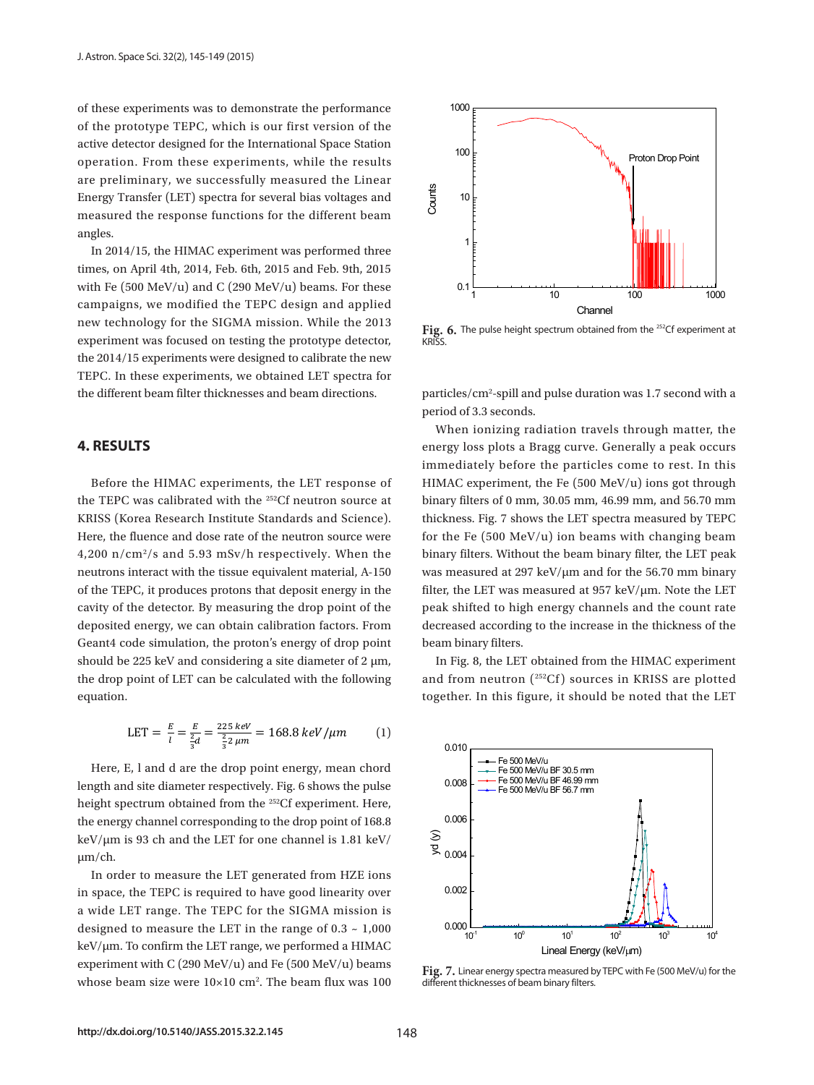of these experiments was to demonstrate the performance of the prototype TEPC, which is our first version of the active detector designed for the International Space Station operation. From these experiments, while the results are preliminary, we successfully measured the Linear Energy Transfer (LET) spectra for several bias voltages and measured the response functions for the different beam angles.

In 2014/15, the HIMAC experiment was performed three times, on April 4th, 2014, Feb. 6th, 2015 and Feb. 9th, 2015 with Fe  $(500 \text{ MeV/u})$  and C  $(290 \text{ MeV/u})$  beams. For these campaigns, we modified the TEPC design and applied **Example 1** Channel new technology for the SIGMA mission. While the 2013  $\cdot$  Fig. 6. The pulse height spectrum obtained for experiment was focused on testing the prototype detector, KRISS.  $\frac{1}{10}$  for 2014/15 experiments were designed to calibrate the new In the EU summary 15 depertuncies were designed to cannot the HeW<br>TEPC. In these experiments, we obtained LET spectra for the different beam filter thicknesses and beam directions.  $particles/cm^2$ -spill and pulse duration v with region mey and calculate the Tepchanis, rotation  $\frac{1}{1}$  10 1 EPC. In these experiments, we obtained LET spectra for

#### **4. RESULTS**

Before the HIMAC experiments, the LET response of HIMAC experiment, the Fe (500 MeV/ the TEPC was calibrated with the <sup>252</sup>Cf neutron source at  $\qquad$  binary filters of 0 mm, 30.05 mm, 46.99 KRISS (Korea Research Institute Standards and Science). 
Inicial the Terminal mission of the Terminal mission. The 2013 and 3013 million of the Terminal mission. While the 2013 mission. While the 2013 mission. While the 20 Here, the fluence and dose rate of the neutron source were for the Fe  $(500 \text{ MeV/u})$  ion beams v 4,200  $\mathrm{n/cm^2/s}$  and 5.93 mSv/h respectively. When the neutrons interact with the tissue equivalent material, A-150 123 of the TEPC, it produces protons that deposit energy in the cavity of the detector. By measuring the drop point of the peak shifted to high energy channels deposited energy, we can obtain calibration factors. From decreased according to the increase in Geant4 code simulation, the proton's energy of drop point beam binary filters. should be 225 keV and considering a site diameter of  $2 \mu m$ , In Fig. 8, the LET obtained from the the drop point of LET can be calculated with the following and from neutron  $(^{252}Cf)$  sources in equation. 132 equation. RNI33 (ROTE A RESEALLY INSULTED STATISTICS AND SCIENCE). THE UNCRITESS, FIG. 7 SHOWS THE LETT SPECIES before the HIMAC experiments of the HIMAC experiments, the TEPC was ineasured at 357 Ke  $\frac{1}{2}$  and non-neutron  $\left(\frac{1}{2}C_1\right)$  sources in

$$
LET = \frac{E}{l} = \frac{E}{\frac{2}{3}d} = \frac{225 \text{ keV}}{\frac{2}{3}2 \text{ }\mu\text{m}} = 168.8 \text{ keV/\mu m}
$$
 (1)

Here, E, l and d are the drop point energy, mean chord  $\begin{array}{r} \n\hline\n\text{+} \n\end{array}$  Fe 500 MeV/u BF 30.5 mm length and site diameter respectively. Fig. 6 shows the pulse  $\frac{0.008}{\text{--}}\text{Fe}$  500 MeV/u BF 46.99 mm height spectrum obtained from the <sup>252</sup>Cf experiment. Here, the energy channel corresponding to the drop point of 168.8  $\frac{1}{2}$  In order to measure the LET generated from Hz is required to have good in space, the TEPC is required to have good in space, the TEPC is required to have good in space, the TEPC is required to have good in space keV/μm is 93 ch and the LET for one channel is 1.81 keV/  $\frac{180}{8}$ 142 the range of 0.3 ~ 1,000 keV/m. To confirm the LET range, we performed a HIMAC experiment with μm/ch.

In order to measure the LET generated from HZE ions in space, the TEPC is required to have good linearity over  $0.002$ a wide LET range. The TEPC for the SIGMA mission is  $\vert$ designed to measure the LET in the range of 0.3 ~ 1,000  $\frac{100}{10^{1}}$   $\frac{10^{1}}{10^{1}}$   $\frac{10^{1}}{10^{2}}$  $\frac{10^{11}}{10^{11}}$  in the LET range, we performed a HIMAC  $\frac{10^{11}}{10^{11}}$  in the SI Freedy (keV/  $\frac{1}{2}$  Exercise measured by TEDC in the LET string, we performed a THRTC for the Fe (500 MeV/u) in the Fe (500 MeV/u) beams experiment with C (290 MeV/u) and Fe (500 MeV/u) beams experiment with G (290 MeV/u) and Fe (500 MeV/u) beams **Fig. 7.** Linear energy spectra measured by TEPC with Fe (500 MeV/u) for the whose beam size were  $10\times10$  cm<sup>2</sup>. The beam flux was  $100$  different thicknesses of beam binary filters.



Fig. 6. The pulse height spectrum obtained from the <sup>252</sup>Cf experiment at **KRISS** 

period of 3.3 seconds. particles/cm<sup>2</sup>-spill and pulse duration was 1.7 second with a

IT When ionizing radiation travels through matter, the 114 experiments, which the results are predicted the results are predicted the Linear Energy Transfer Transfer **4. RESULTS** energy loss plots a Bragg curve. Generally a peak occurs for the different beam  $\epsilon$ immediately before the particles come to rest. In this HIMAC experiment, the Fe (500 MeV/u) ions got through binary filters of 0 mm, 30.05 mm, 46.99 mm, and 56.70 mm thickness. Fig. 7 shows the LET spectra measured by TEPC for the Fe (500 MeV/u) ion beams with changing beam binary filters. Without the beam binary filter, the LET peak was measured at 297 keV/μm and for the 56.70 mm binary filter, the LET was measured at 957 keV/μm. Note the LET peak shifted to high energy channels and the count rate decreased according to the increase in the thickness of the beam binary filters.

> In Fig. 8, the LET obtained from the HIMAC experiment and from neutron (252Cf ) sources in KRISS are plotted together. In this figure, it should be noted that the LET



different thicknesses of beam binary filters.